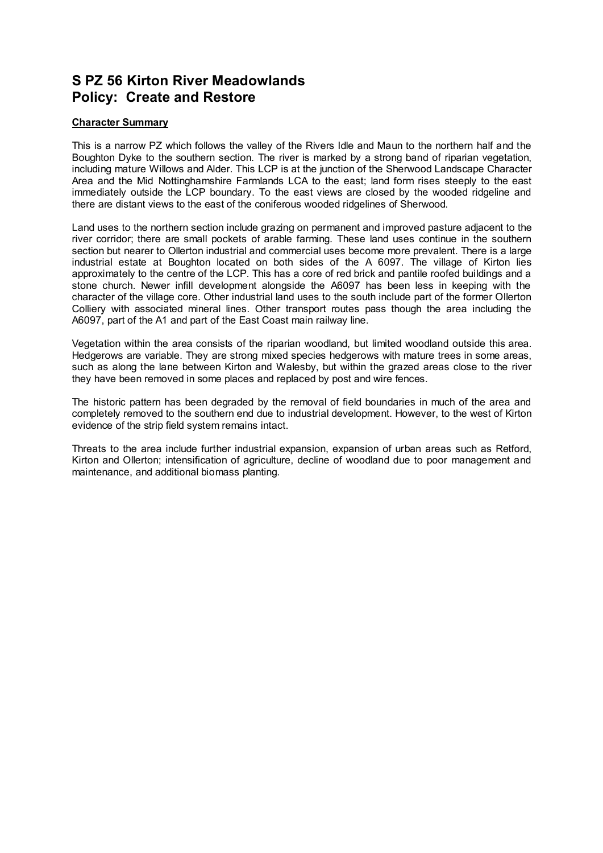## **S PZ 56 Kirton River Meadowlands Policy: Create and Restore**

## **Character Summary**

This is a narrow PZ which follows the valley of the Rivers Idle and Maun to the northern half and the Boughton Dyke to the southern section. The river is marked by a strong band of riparian vegetation, including mature Willows and Alder. This LCP is at the junction of the Sherwood Landscape Character Area and the Mid Nottinghamshire Farmlands LCA to the east; land form rises steeply to the east immediately outside the LCP boundary. To the east views are closed by the wooded ridgeline and there are distant views to the east of the coniferous wooded ridgelines of Sherwood.

Land uses to the northern section include grazing on permanent and improved pasture adjacent to the river corridor; there are small pockets of arable farming. These land uses continue in the southern section but nearer to Ollerton industrial and commercial uses become more prevalent. There is a large industrial estate at Boughton located on both sides of the A 6097. The village of Kirton lies approximately to the centre of the LCP. This has a core of red brick and pantile roofed buildings and a stone church. Newer infill development alongside the A6097 has been less in keeping with the character of the village core. Other industrial land uses to the south include part of the former Ollerton Colliery with associated mineral lines. Other transport routes pass though the area including the A6097, part of the A1 and part of the East Coast main railway line.

Vegetation within the area consists of the riparian woodland, but limited woodland outside this area. Hedgerows are variable. They are strong mixed species hedgerows with mature trees in some areas, such as along the lane between Kirton and Walesby, but within the grazed areas close to the river they have been removed in some places and replaced by post and wire fences.

The historic pattern has been degraded by the removal of field boundaries in much of the area and completely removed to the southern end due to industrial development. However, to the west of Kirton evidence of the strip field system remains intact.

Threats to the area include further industrial expansion, expansion of urban areas such as Retford, Kirton and Ollerton; intensification of agriculture, decline of woodland due to poor management and maintenance, and additional biomass planting.